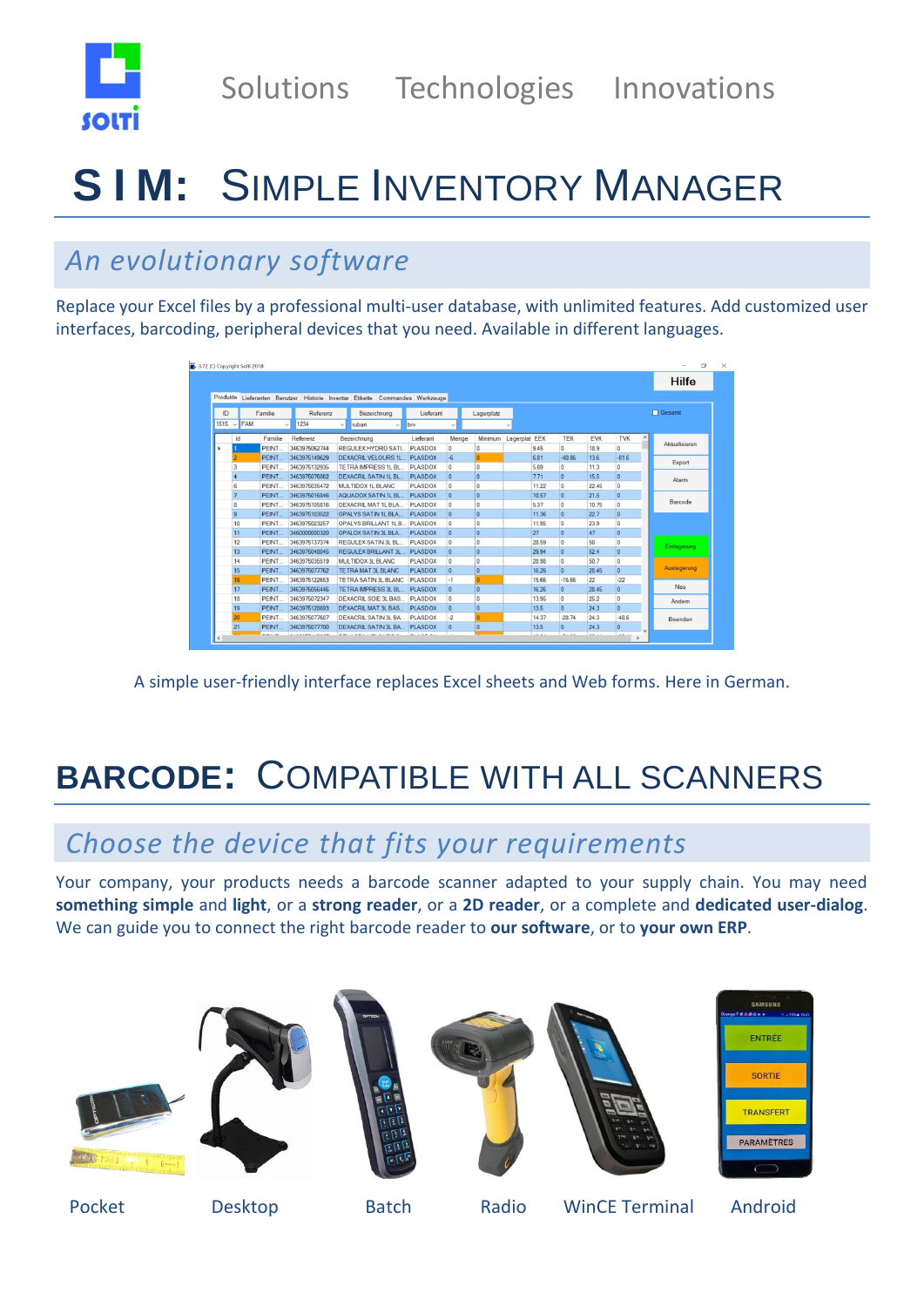

# **S I M:** SIMPLE INVENTORY MANAGER

## *An evolutionary software*

Replace your Excel files by a professional multi-user database, with unlimited features. Add customized user interfaces, barcoding, peripheral devices that you need. Available in different languages.

|          |                     |         |                      |                                                                     |                |                |                |               |       |                |            |                |                      | <b>Hilfe</b>  |
|----------|---------------------|---------|----------------------|---------------------------------------------------------------------|----------------|----------------|----------------|---------------|-------|----------------|------------|----------------|----------------------|---------------|
| Produkte |                     |         |                      | Lieferanten Benutzer Historie Inventar Etikette Commandes Werkzeuge |                |                |                |               |       |                |            |                |                      |               |
| ID       |                     | Familie | Referenz             | Bezeichnung                                                         | Lieferant      |                | Lagerplatz     |               |       |                |            |                | <b>Gesamt</b>        |               |
| 1515     | FAM<br>$\checkmark$ |         | 1234<br>$\checkmark$ | ruban<br>$\vee$                                                     | brv<br>$\sim$  | $\checkmark$   |                |               |       |                |            |                |                      |               |
|          | Id                  | Familie | Referenz             | Bezeichnung                                                         | Lieferant      | Menge          | Minimum        | Lagerplat EEK |       | TEK            | <b>EVK</b> | <b>TVK</b>     | $\lambda$            |               |
|          |                     | PEINT.  | 3463975062744        | REGULEX HYDRO SATI                                                  | PLASDOX        | $\Omega$       | $\Omega$       |               | 9.45  | $\Omega$       | 189        | $\Omega$       |                      | Aktualisieren |
|          |                     | PEINT.  | 3463975149629        | <b>DEXACRIL VELOURS 1L</b>                                          | PLASDOX        | $-6$           | $\Omega$       |               | 6.81  | $-40.86$       | 13.6       | $-81.6$        |                      | Export        |
|          | 3                   | PEINT.  | 3463975132935        | <b>TETRA IMPRESS 1L BL</b>                                          | <b>PLASDOX</b> | $\Omega$       | $\overline{0}$ |               | 5.69  | $\mathbf{0}$   | 11.3       | $\circ$        |                      |               |
|          |                     | PEINT.  | 3463975076062        | <b>DEXACRIL SATIN 1L BL</b>                                         | <b>PLASDOX</b> | $\overline{0}$ | $\overline{0}$ |               | 7.71  | $\overline{0}$ | 15.5       | $\mathbf{0}$   |                      | Alarm         |
|          | 6                   | PEINT.  | 3463975035472        | MULTIDOX 1L BLANC                                                   | PLASDOX        | $\circ$        | $\bf{0}$       |               | 11.22 | $\overline{0}$ | 22.45      | $\mathbf{0}$   |                      |               |
|          | z                   | PEINT.  | 3463975016846        | AQUADOX SATIN 1L BL                                                 | <b>PLASDOX</b> | $\overline{0}$ | $\mathbf{0}$   |               | 10.57 | $\Omega$       | 21.5       | $\overline{0}$ |                      |               |
|          | 8                   | PEINT.  | 3463975105816        | DEXACRIL MAT 1L BLA.                                                | <b>PLASDOX</b> | $\Omega$       | $\overline{0}$ |               | 5.37  | $\Omega$       | 10.75      | $\Omega$       |                      | Barcode       |
|          | 9                   | PEINT.  | 3463975103522        | OPALYS SATIN 1L BLA                                                 | <b>PLASDOX</b> | $\overline{0}$ | $\Omega$       |               | 11.36 | $\overline{0}$ | 22.7       | $\Omega$       |                      |               |
|          | 10                  | PEINT.  | 3463975023257        | OPALYS BRILLANT 1L B.                                               | <b>PLASDOX</b> | $\Omega$       | $\Omega$       |               | 11.95 | $\Omega$       | 23.9       | $\Omega$       |                      |               |
|          | 11                  | PEINT.  | 3460000000320        | <b>OPALOX SATIN 3L BLA</b>                                          | <b>PLASDOX</b> | $\mathbf{0}$   | $\mathbf{0}$   |               | 27    | $\overline{0}$ | 47         | $\mathbf{0}$   |                      |               |
|          | 12                  | PEINT.  | 3463975137374        | <b>REGULEX SATIN 3L BL</b>                                          | <b>PLASDOX</b> | $\Omega$       | $\Omega$       |               | 28.59 | $\Omega$       | 50         | $\circ$        |                      | Einlagerung   |
|          | 13                  | PEINT.  | 3463975048045        | <b>REGULEX BRILLANT 3L</b>                                          | <b>PLASDOX</b> | $\overline{0}$ | $\overline{0}$ |               | 29.94 | $\overline{0}$ | 52.4       | $\mathbf{0}$   |                      |               |
|          | 14                  | PEINT.  | 3463975035519        | MULTIDOX 3L BLANC                                                   | <b>PLASDOX</b> | $\Omega$       | $\mathbf{0}$   |               | 28.98 | $\Omega$       | 50.7       | $\Omega$       |                      |               |
|          | 15                  | PEINT.  | 3463975077762        | <b>TETRA MAT 3L BLANC</b>                                           | <b>PLASDOX</b> | $\overline{0}$ | $\mathbf{0}$   |               | 16.26 | $\overline{0}$ | 28.45      | $\overline{0}$ |                      | Auslagerung   |
|          | 16                  | PEINT.  | 3463975122653        | TETRA SATIN 3L BLANC                                                | PLASDOX        | $-1$           |                |               | 15.66 | $-15.66$       | 22         | $-22$          |                      |               |
|          | 17                  | PEINT.  | 3463975056446        | <b>TETRA IMPRESS 3L BL</b>                                          | <b>PLASDOX</b> | $\Omega$       | $\overline{0}$ |               | 16.26 | $\mathbf{0}$   | 28.45      | $\overline{0}$ |                      | Neu           |
|          | 18                  | PEINT.  | 3463975072347        | DEXACRIL SOIE 3L BAS                                                | <b>PLASDOX</b> | $\circ$        | $\mathbf{0}$   |               | 13.95 | $\overline{0}$ | 25.2       | $\circ$        |                      | Andem         |
|          | 19                  | PEINT.  | 3463975128693        | <b>DEXACRIL MAT 3L BAS.</b>                                         | <b>PLASDOX</b> | $\overline{0}$ | $\overline{0}$ |               | 13.5  | $\Omega$       | 24.3       | $\Omega$       |                      |               |
|          | 20                  | PEINT.  | 3463975077687        | DEXACRIL SATIN 3L BA                                                | PLASDOX        | $-2$           |                |               | 14.37 | $-28.74$       | 24.3       | $-48.6$        |                      | Beenden       |
|          | 21                  | PEINT.  | 3463975077700        | DEXACRIL SATIN 3L BA                                                | <b>PLASDOX</b> | $\Omega$       | $\overline{0}$ |               | 13.5  | $\Omega$       | 24.3       | $\Omega$       | $\ddot{\phantom{1}}$ |               |

A simple user-friendly interface replaces Excel sheets and Web forms. Here in German.

## **BARCODE:** COMPATIBLE WITH ALL SCANNERS

### *Choose the device that fits your requirements*

Your company, your products needs a barcode scanner adapted to your supply chain. You may need **something simple** and **light**, or a **strong reader**, or a **2D reader**, or a complete and **dedicated user-dialog**. We can guide you to connect the right barcode reader to **our software**, or to **your own ERP**.













Pocket Desktop Batch Radio WinCE Terminal Android